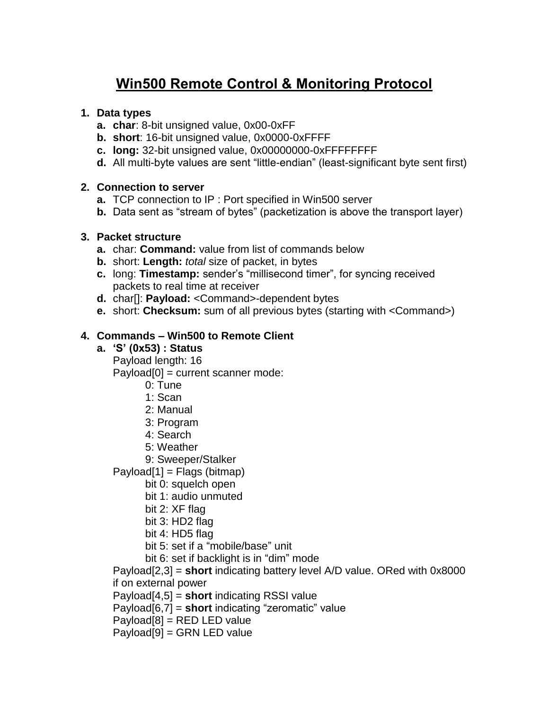# **Win500 Remote Control & Monitoring Protocol**

# **1. Data types**

- **a. char**: 8-bit unsigned value, 0x00-0xFF
- **b. short**: 16-bit unsigned value, 0x0000-0xFFFF
- **c. long:** 32-bit unsigned value, 0x00000000-0xFFFFFFFF
- **d.** All multi-byte values are sent "little-endian" (least-significant byte sent first)

## **2. Connection to server**

- **a.** TCP connection to IP : Port specified in Win500 server
- **b.** Data sent as "stream of bytes" (packetization is above the transport layer)

## **3. Packet structure**

- **a.** char: **Command:** value from list of commands below
- **b.** short: **Length:** *total* size of packet, in bytes
- **c.** long: **Timestamp:** sender's "millisecond timer", for syncing received packets to real time at receiver
- **d.** char[]: **Payload:** <Command>-dependent bytes
- **e.** short: **Checksum:** sum of all previous bytes (starting with <Command>)

# **4. Commands – Win500 to Remote Client**

- **a. 'S' (0x53) : Status**
	- Payload length: 16

Payload[0] = current scanner mode:

- 0: Tune
- 1: Scan
- 2: Manual
- 3: Program
- 4: Search
- 5: Weather

9: Sweeper/Stalker

 $Payload[1] = Flags (bitmap)$ 

- bit 0: squelch open
- bit 1: audio unmuted
- bit 2: XF flag
- bit 3: HD2 flag
- bit 4: HD5 flag
- bit 5: set if a "mobile/base" unit
- bit 6: set if backlight is in "dim" mode

Payload[2,3] = **short** indicating battery level A/D value. ORed with 0x8000 if on external power

Payload[4,5] = **short** indicating RSSI value

Payload[6,7] = **short** indicating "zeromatic" value

Payload[8] = RED LED value

Payload[9] = GRN LED value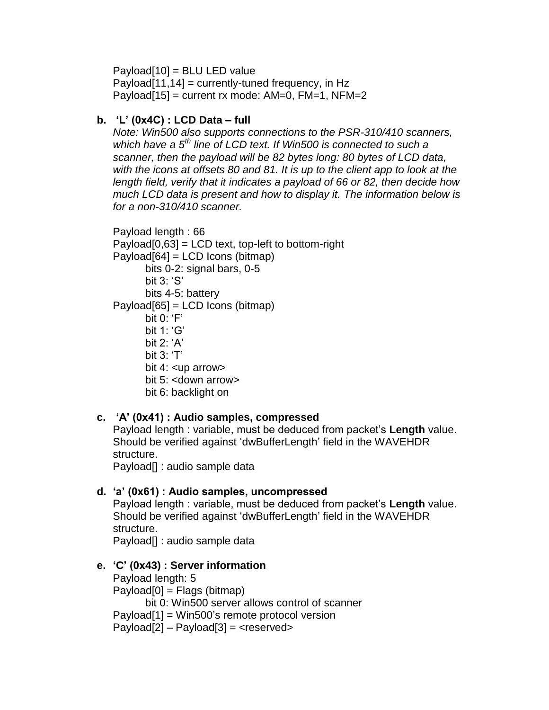Payload[10] = BLU LED value Payload $[11,14]$  = currently-tuned frequency, in Hz Payload $[15]$  = current rx mode: AM=0, FM=1, NFM=2

# **b. 'L' (0x4C) : LCD Data – full**

*Note: Win500 also supports connections to the PSR-310/410 scanners, which have a 5th line of LCD text. If Win500 is connected to such a scanner, then the payload will be 82 bytes long: 80 bytes of LCD data, with the icons at offsets 80 and 81. It is up to the client app to look at the length field, verify that it indicates a payload of 66 or 82, then decide how much LCD data is present and how to display it. The information below is for a non-310/410 scanner.*

Payload length : 66  $Payload[0,63] = LCD text, top-left to bottom-right$ Payload[64] = LCD Icons (bitmap) bits 0-2: signal bars, 0-5 bit 3: 'S' bits 4-5: battery Payload[65] = LCD Icons (bitmap) bit  $0: 'F'$ bit 1: 'G' bit 2: 'A' bit 3: 'T' bit 4: <up arrow> bit 5: <down arrow> bit 6: backlight on

# **c. 'A' (0x41) : Audio samples, compressed**

Payload length : variable, must be deduced from packet's **Length** value. Should be verified against 'dwBufferLength' field in the WAVEHDR structure.

Payload[] : audio sample data

# **d. 'a' (0x61) : Audio samples, uncompressed**

Payload length : variable, must be deduced from packet's **Length** value. Should be verified against 'dwBufferLength' field in the WAVEHDR structure. Payload[] : audio sample data

# **e. 'C' (0x43) : Server information**

Payload length: 5 Payload[0] = Flags (bitmap) bit 0: Win500 server allows control of scanner Payload[1] = Win500's remote protocol version  $Payload[2] - Payload[3] = reserved>$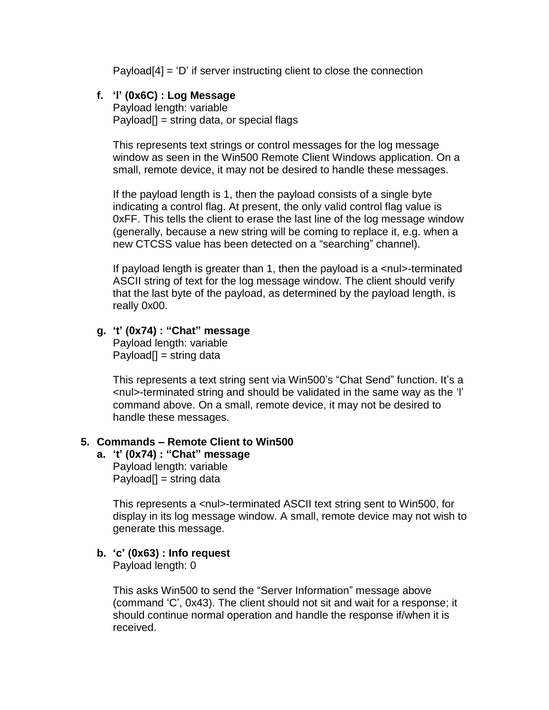$Payload[4] = 'D'$  if server instructing client to close the connection

## **f. 'l' (0x6C) : Log Message**

Payload length: variable  $Pavload[] = string data, or special flags$ 

This represents text strings or control messages for the log message window as seen in the Win500 Remote Client Windows application. On a small, remote device, it may not be desired to handle these messages.

If the payload length is 1, then the payload consists of a single byte indicating a control flag. At present, the only valid control flag value is 0xFF. This tells the client to erase the last line of the log message window (generally, because a new string will be coming to replace it, e.g. when a new CTCSS value has been detected on a "searching" channel).

If payload length is greater than 1, then the payload is a <nul>-terminated ASCII string of text for the log message window. The client should verify that the last byte of the payload, as determined by the payload length, is really 0x00.

## **g. 't' (0x74) : "Chat" message**

Payload length: variable  $Payload[] = string data$ 

This represents a text string sent via Win500's "Chat Send" function. It's a <nul>-terminated string and should be validated in the same way as the 'l' command above. On a small, remote device, it may not be desired to handle these messages.

#### **5. Commands – Remote Client to Win500**

# **a. 't' (0x74) : "Chat" message** Payload length: variable

 $Payload[] = string data$ 

This represents a <nul>-terminated ASCII text string sent to Win500, for display in its log message window. A small, remote device may not wish to generate this message.

## **b. 'c' (0x63) : Info request**

Payload length: 0

This asks Win500 to send the "Server Information" message above (command 'C', 0x43). The client should not sit and wait for a response; it should continue normal operation and handle the response if/when it is received.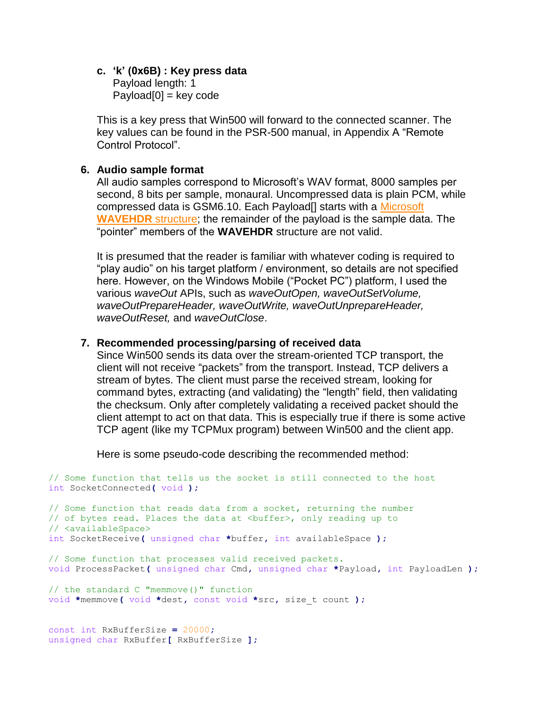#### **c. 'k' (0x6B) : Key press data** Payload length: 1  $Payload[0] = key code$

This is a key press that Win500 will forward to the connected scanner. The key values can be found in the PSR-500 manual, in Appendix A "Remote Control Protocol".

#### **6. Audio sample format**

All audio samples correspond to Microsoft's WAV format, 8000 samples per second, 8 bits per sample, monaural. Uncompressed data is plain PCM, while compressed data is GSM6.10. Each Payload<sup>[]</sup> starts with a Microsoft **[WAVEHDR](http://msdn.microsoft.com/en-us/library/aa909814.aspx)** structure; the remainder of the payload is the sample data. The "pointer" members of the **WAVEHDR** structure are not valid.

It is presumed that the reader is familiar with whatever coding is required to "play audio" on his target platform / environment, so details are not specified here. However, on the Windows Mobile ("Pocket PC") platform, I used the various *waveOut* APIs, such as *waveOutOpen, waveOutSetVolume, waveOutPrepareHeader, waveOutWrite, waveOutUnprepareHeader, waveOutReset,* and *waveOutClose*.

#### **7. Recommended processing/parsing of received data**

Since Win500 sends its data over the stream-oriented TCP transport, the client will not receive "packets" from the transport. Instead, TCP delivers a stream of bytes. The client must parse the received stream, looking for command bytes, extracting (and validating) the "length" field, then validating the checksum. Only after completely validating a received packet should the client attempt to act on that data. This is especially true if there is some active TCP agent (like my TCPMux program) between Win500 and the client app.

Here is some pseudo-code describing the recommended method:

// Some function that tells us the socket is still connected to the host int SocketConnected**(** void **);** // Some function that reads data from a socket, returning the number // of bytes read. Places the data at <br/> <br/>kbuffer>, only reading up to // <availableSpace> int SocketReceive**(** unsigned char **\***buffer**,** int availableSpace **);** // Some function that processes valid received packets. void ProcessPacket**(** unsigned char Cmd**,** unsigned char **\***Payload**,** int PayloadLen **);** // the standard C "memmove()" function void **\***memmove**(** void **\***dest**,** const void **\***src**,** size\_t count **);** const int RxBufferSize **=** 20000**;** unsigned char RxBuffer**[** RxBufferSize **];**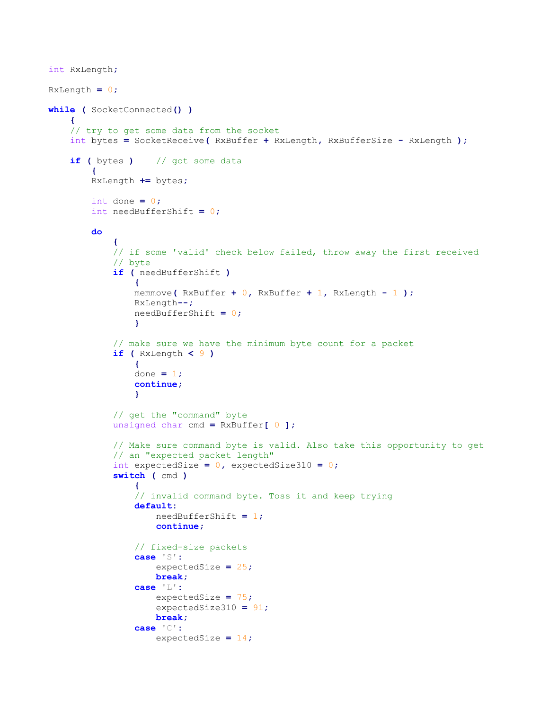```
int RxLength;
RxLength = 0;
while ( SocketConnected() )
    {
    // try to get some data from the socket
    int bytes = SocketReceive( RxBuffer + RxLength, RxBufferSize - RxLength );
    if ( bytes ) // got some data
 {
        RxLength += bytes;
        int done = 0;
        int needBufferShift = 0;
        do
 {
            // if some 'valid' check below failed, throw away the first received
            // byte
            if ( needBufferShift )
{
                memmove( RxBuffer + 0, RxBuffer + 1, RxLength - 1 );
                RxLength--;
                needBufferShift = 0;
 }
            // make sure we have the minimum byte count for a packet
            if ( RxLength < 9 )
{
                done = 1;
                continue;
 }
            // get the "command" byte
            unsigned char cmd = RxBuffer[ 0 ];
            // Make sure command byte is valid. Also take this opportunity to get
            // an "expected packet length"
            int expectedSize = 0, expectedSize310 = 0;
            switch ( cmd )
{
                // invalid command byte. Toss it and keep trying
               default:
                    needBufferShift = 1;
                    continue;
                // fixed-size packets
               case 'S':
                    expectedSize = 25;
                    break;
                case 'L':
                    expectedSize = 75;
                    expectedSize310 = 91;
                    break;
                case 'C':
                    expectedSize = 14;
```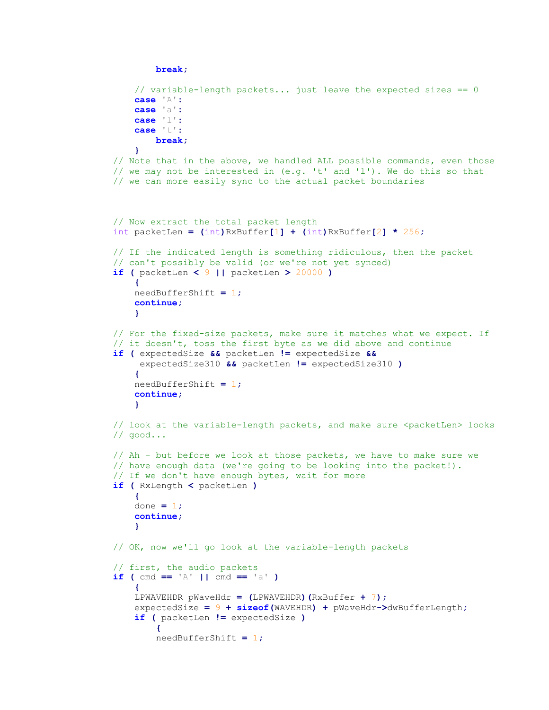```
 break;
                // variable-length packets... just leave the expected sizes == 0
               case 'A':
                case 'a':
                case 'l':
                case 't':
                   break;
 }
            // Note that in the above, we handled ALL possible commands, even those
            // we may not be interested in (e.g. 't' and 'l'). We do this so that
            // we can more easily sync to the actual packet boundaries
            // Now extract the total packet length
            int packetLen = (int)RxBuffer[1] + (int)RxBuffer[2] * 256;
            // If the indicated length is something ridiculous, then the packet
            // can't possibly be valid (or we're not yet synced)
            if ( packetLen < 9 || packetLen > 20000 )
{
                needBufferShift = 1;
                continue;
 }
            // For the fixed-size packets, make sure it matches what we expect. If
            // it doesn't, toss the first byte as we did above and continue
            if ( expectedSize && packetLen != expectedSize &&
                 expectedSize310 && packetLen != expectedSize310 )
{
                needBufferShift = 1;
                continue;
 }
           // look at the variable-length packets, and make sure <packetLen> looks
            // good...
            // Ah - but before we look at those packets, we have to make sure we
            // have enough data (we're going to be looking into the packet!).
            // If we don't have enough bytes, wait for more
            if ( RxLength < packetLen )
{
               done = 1;
                continue;
 }
            // OK, now we'll go look at the variable-length packets
            // first, the audio packets
           if ( cmd == ^{\dagger} A' || cmd == ^{\dagger} a' )
{
                LPWAVEHDR pWaveHdr = (LPWAVEHDR)(RxBuffer + 7);
                expectedSize = 9 + sizeof(WAVEHDR) + pWaveHdr->dwBufferLength;
                if ( packetLen != expectedSize )
 {
                  needBufferShift = 1;
```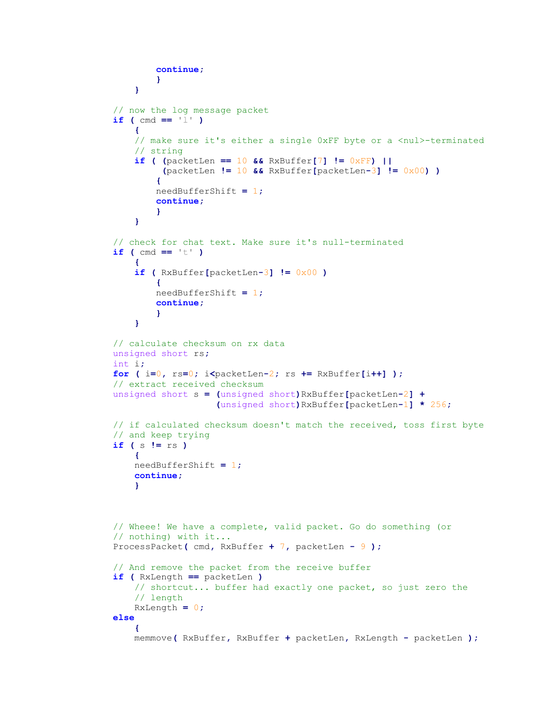```
 continue;
                  }
 }
           // now the log message packet
          if ( cmd == '1' )
{
              // make sure it's either a single 0xFF byte or a <nul>-terminated
               // string
              if ( (packetLen == 10 && RxBuffer[7] != 0xFF) ||
                    (packetLen != 10 && RxBuffer[packetLen-3] != 0x00) )
 {
                  needBufferShift = 1;
                   continue;
                  }
 }
           // check for chat text. Make sure it's null-terminated
          if ( cmd == 't' )
{
               if ( RxBuffer[packetLen-3] != 0x00 )
 {
                  needBufferShift = 1;
                   continue;
                  }
 }
           // calculate checksum on rx data
           unsigned short rs;
           int i;
           for ( i=0, rs=0; i<packetLen-2; rs += RxBuffer[i++] );
           // extract received checksum
           unsigned short s = (unsigned short)RxBuffer[packetLen-2] +
                             (unsigned short)RxBuffer[packetLen-1] * 256;
           // if calculated checksum doesn't match the received, toss first byte
           // and keep trying
           if ( s != rs )
{
               needBufferShift = 1;
               continue;
 }
           // Wheee! We have a complete, valid packet. Go do something (or
           // nothing) with it...
           ProcessPacket( cmd, RxBuffer + 7, packetLen - 9 );
           // And remove the packet from the receive buffer
           if ( RxLength == packetLen )
               // shortcut... buffer had exactly one packet, so just zero the
               // length
              RxLength = 0;
           else
{
               memmove( RxBuffer, RxBuffer + packetLen, RxLength - packetLen );
```